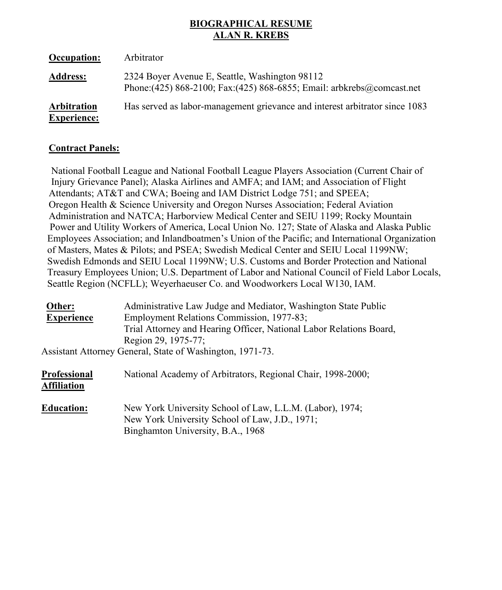# **BIOGRAPHICAL RESUME ALAN R. KREBS**

| Occupation:                              | Arbitrator                                                                                                                |
|------------------------------------------|---------------------------------------------------------------------------------------------------------------------------|
| <b>Address:</b>                          | 2324 Boyer Avenue E, Seattle, Washington 98112<br>Phone: (425) 868-2100; Fax: (425) 868-6855; Email: arbkrebs@comcast.net |
| <b>Arbitration</b><br><b>Experience:</b> | Has served as labor-management grievance and interest arbitrator since 1083                                               |

# **Contract Panels:**

 National Football League and National Football League Players Association (Current Chair of Injury Grievance Panel); Alaska Airlines and AMFA; and IAM; and Association of Flight Attendants; AT&T and CWA; Boeing and IAM District Lodge 751; and SPEEA; Oregon Health & Science University and Oregon Nurses Association; Federal Aviation Administration and NATCA; Harborview Medical Center and SEIU 1199; Rocky Mountain Power and Utility Workers of America, Local Union No. 127; State of Alaska and Alaska Public Employees Association; and Inlandboatmen's Union of the Pacific; and International Organization of Masters, Mates & Pilots; and PSEA; Swedish Medical Center and SEIU Local 1199NW; Swedish Edmonds and SEIU Local 1199NW; U.S. Customs and Border Protection and National Treasury Employees Union; U.S. Department of Labor and National Council of Field Labor Locals, Seattle Region (NCFLL); Weyerhaeuser Co. and Woodworkers Local W130, IAM.

| Other:                      | Administrative Law Judge and Mediator, Washington State Public      |
|-----------------------------|---------------------------------------------------------------------|
| <b>Experience</b>           | Employment Relations Commission, 1977-83;                           |
|                             | Trial Attorney and Hearing Officer, National Labor Relations Board, |
|                             | Region 29, 1975-77;                                                 |
|                             | Assistant Attorney General, State of Washington, 1971-73.           |
| Professional<br>Affiliation | National Academy of Arbitrators, Regional Chair, 1998-2000;         |

**Education:** New York University School of Law, L.L.M. (Labor), 1974; New York University School of Law, J.D., 1971; Binghamton University, B.A., 1968